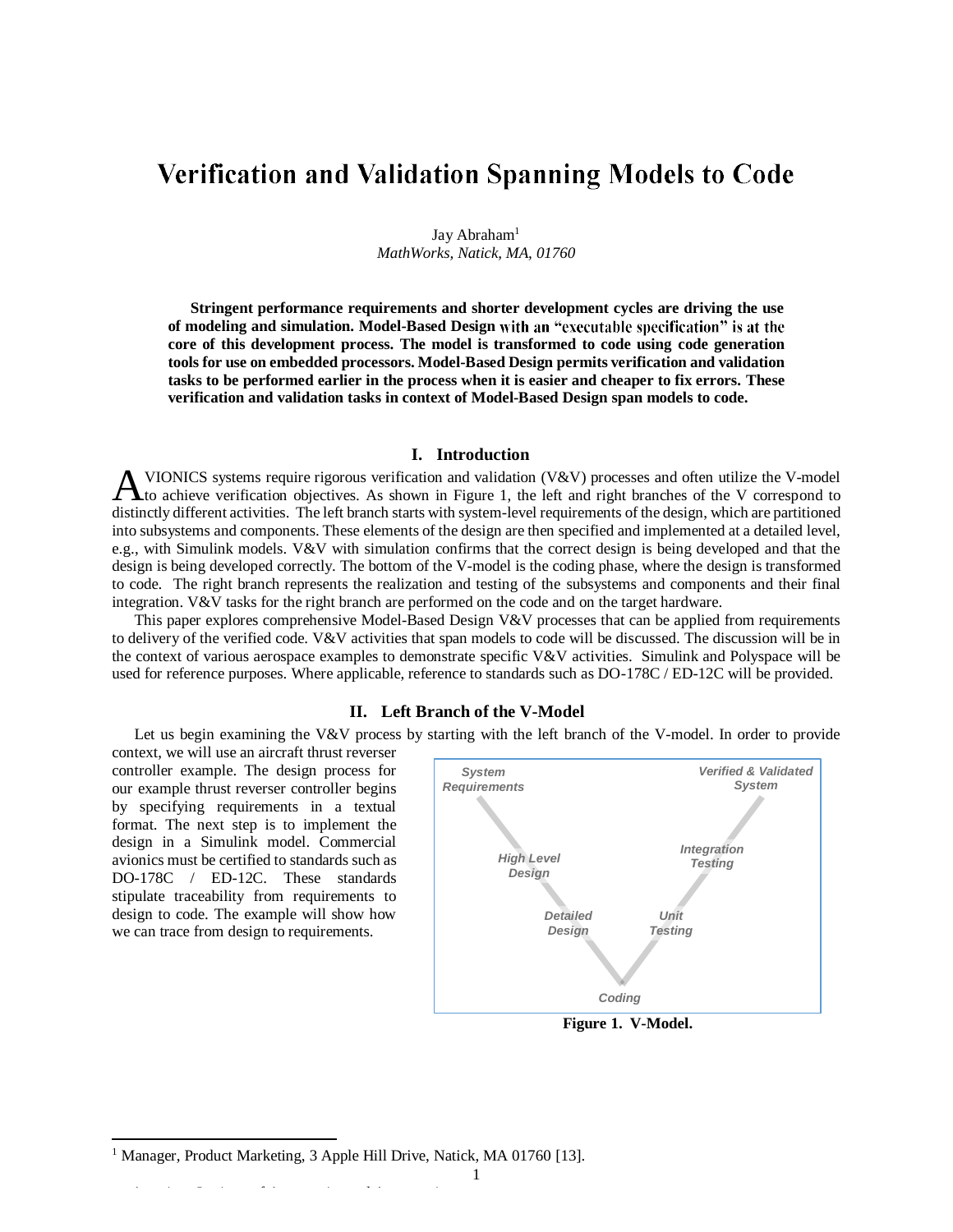# **Verification and Validation Spanning Models to Code**

Jay Abraham<sup>1</sup> *MathWorks, Natick, MA, 01760*

**Stringent performance requirements and shorter development cycles are driving the use of modeling and simulation. Model-Based Design core of this development process. The model is transformed to code using code generation tools for use on embedded processors. Model-Based Design permits verification and validation tasks to be performed earlier in the process when it is easier and cheaper to fix errors. These verification and validation tasks in context of Model-Based Design span models to code.**

# **I. Introduction**

VIONICS systems require rigorous verification and validation (V&V) processes and often utilize the V-model **to achieve verification objectives.** As shown in Figure 1, the left and right branches of the V correspond to the V correspond to the V correspond to the V correspond to the V correspond to the V correspond to the V corre distinctly different activities. The left branch starts with system-level requirements of the design, which are partitioned into subsystems and components. These elements of the design are then specified and implemented at a detailed level, e.g., with Simulink models. V&V with simulation confirms that the correct design is being developed and that the design is being developed correctly. The bottom of the V-model is the coding phase, where the design is transformed to code. The right branch represents the realization and testing of the subsystems and components and their final integration. V&V tasks for the right branch are performed on the code and on the target hardware.

This paper explores comprehensive Model-Based Design V&V processes that can be applied from requirements to delivery of the verified code. V&V activities that span models to code will be discussed. The discussion will be in the context of various aerospace examples to demonstrate specific V&V activities. Simulink and Polyspace will be used for reference purposes. Where applicable, reference to standards such as DO-178C / ED-12C will be provided.

## **II. Left Branch of the V-Model**

Let us begin examining the V&V process by starting with the left branch of the V-model. In order to provide

context, we will use an aircraft thrust reverser controller example. The design process for our example thrust reverser controller begins by specifying requirements in a textual format. The next step is to implement the design in a Simulink model. Commercial avionics must be certified to standards such as DO-178C / ED-12C. These standards stipulate traceability from requirements to design to code. The example will show how we can trace from design to requirements.

 $\overline{a}$ 



**Figure 1. V-Model.**

<sup>&</sup>lt;sup>1</sup> Manager, Product Marketing, 3 Apple Hill Drive, Natick, MA 01760 [13].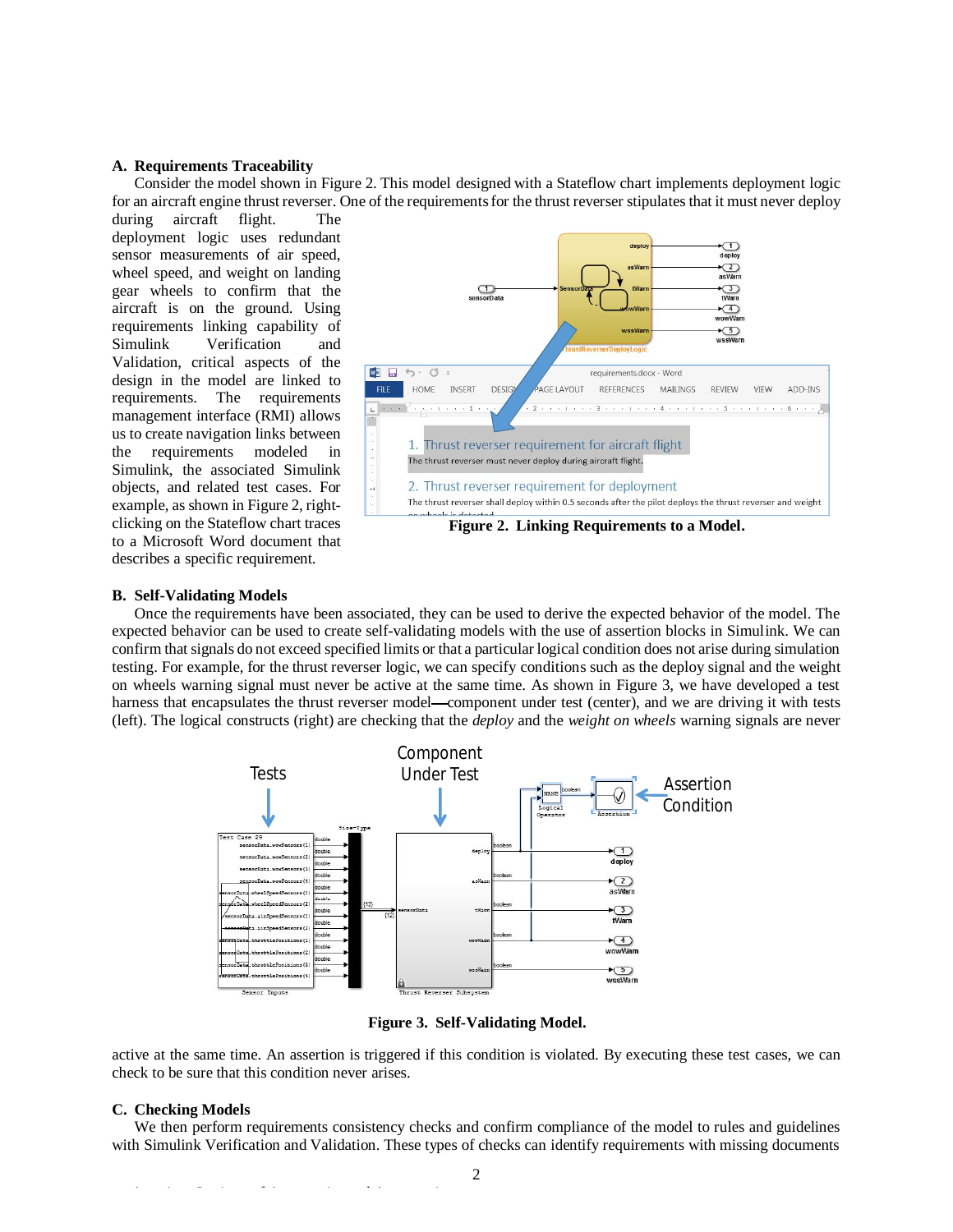#### **A. Requirements Traceability**

Consider the model shown in Figure 2. This model designed with a Stateflow chart implements deployment logic for an aircraft engine thrust reverser. One of the requirementsfor the thrust reverser stipulates that it must never deploy

during aircraft flight. The deployment logic uses redundant sensor measurements of air speed, wheel speed, and weight on landing gear wheels to confirm that the aircraft is on the ground. Using requirements linking capability of<br>Simulink Verification and Verification and Validation, critical aspects of the design in the model are linked to requirements. The requirements management interface (RMI) allows us to create navigation links between the requirements modeled in Simulink, the associated Simulink objects, and related test cases. For example, as shown in Figure 2, rightclicking on the Stateflow chart traces to a Microsoft Word document that describes a specific requirement.



#### **B. Self-Validating Models**

Once the requirements have been associated, they can be used to derive the expected behavior of the model. The expected behavior can be used to create self-validating models with the use of assertion blocks in Simulink. We can confirm that signals do not exceed specified limits or that a particular logical condition does not arise during simulation testing. For example, for the thrust reverser logic, we can specify conditions such as the deploy signal and the weight on wheels warning signal must never be active at the same time. As shown in Figure 3, we have developed a test harness that encapsulates the thrust reverser model—component under test (center), and we are driving it with tests (left). The logical constructs (right) are checking that the *deploy* and the *weight on wheels* warning signals are never



**Figure 3. Self-Validating Model.** 

active at the same time. An assertion is triggered if this condition is violated. By executing these test cases, we can check to be sure that this condition never arises.

#### **C. Checking Models**

We then perform requirements consistency checks and confirm compliance of the model to rules and guidelines with Simulink Verification and Validation. These types of checks can identify requirements with missing documents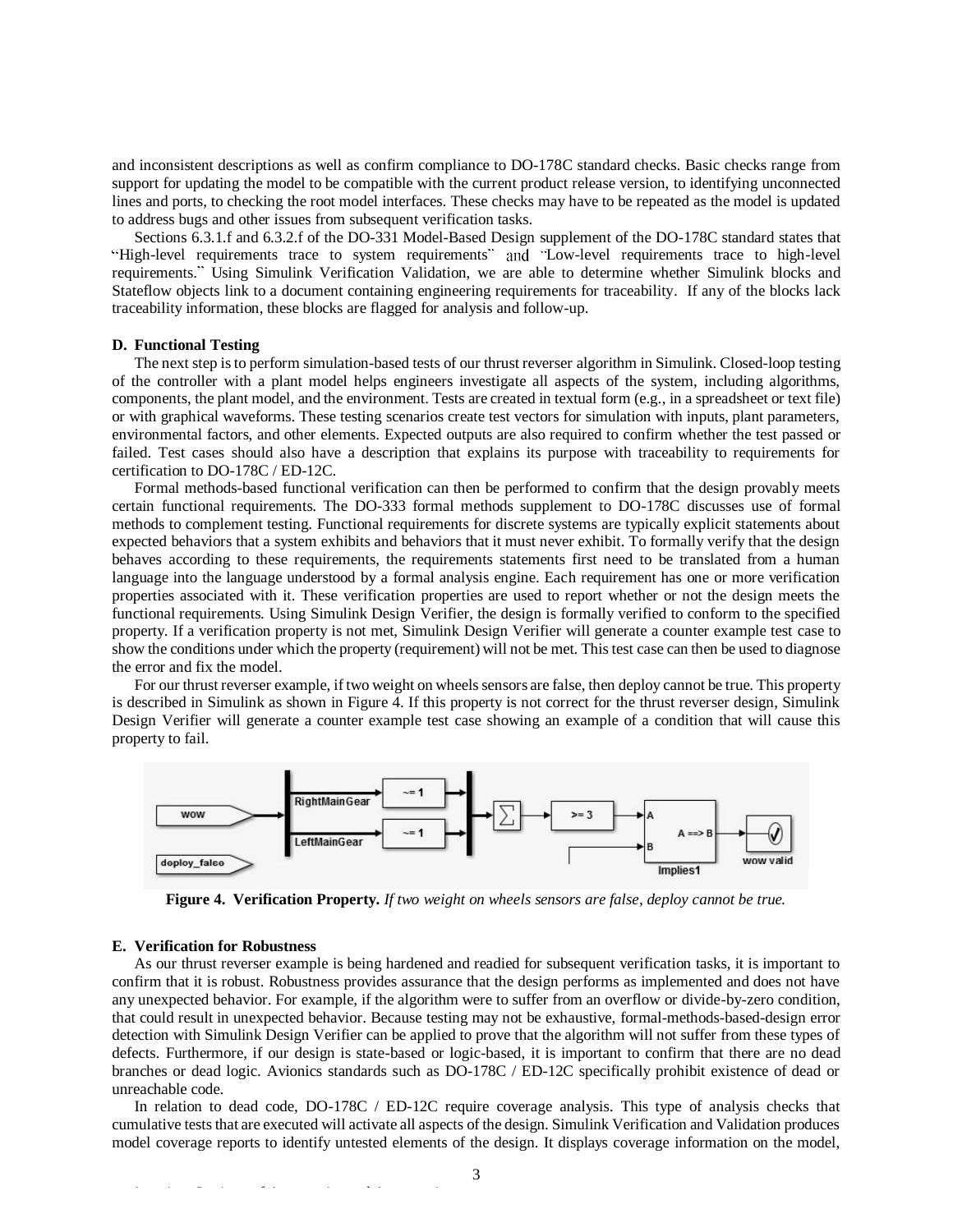and inconsistent descriptions as well as confirm compliance to DO-178C standard checks. Basic checks range from support for updating the model to be compatible with the current product release version, to identifying unconnected lines and ports, to checking the root model interfaces. These checks may have to be repeated as the model is updated to address bugs and other issues from subsequent verification tasks.

Sections 6.3.1.f and 6.3.2.f of the DO-331 Model-Based Design supplement of the DO-178C standard states that "High-level requirements trace to system requirements" and "Low-level requirements trace to high-level requirements." Using Simulink Verification Validation, we are able to determine whether Simulink blocks and Stateflow objects link to a document containing engineering requirements for traceability. If any of the blocks lack traceability information, these blocks are flagged for analysis and follow-up.

#### **D. Functional Testing**

The next step is to perform simulation-based tests of our thrust reverser algorithm in Simulink. Closed-loop testing of the controller with a plant model helps engineers investigate all aspects of the system, including algorithms, components, the plant model, and the environment. Tests are created in textual form (e.g., in a spreadsheet or text file) or with graphical waveforms. These testing scenarios create test vectors for simulation with inputs, plant parameters, environmental factors, and other elements. Expected outputs are also required to confirm whether the test passed or failed. Test cases should also have a description that explains its purpose with traceability to requirements for certification to DO-178C / ED-12C.

Formal methods-based functional verification can then be performed to confirm that the design provably meets certain functional requirements. The DO-333 formal methods supplement to DO-178C discusses use of formal methods to complement testing. Functional requirements for discrete systems are typically explicit statements about expected behaviors that a system exhibits and behaviors that it must never exhibit. To formally verify that the design behaves according to these requirements, the requirements statements first need to be translated from a human language into the language understood by a formal analysis engine. Each requirement has one or more verification properties associated with it. These verification properties are used to report whether or not the design meets the functional requirements. Using Simulink Design Verifier, the design is formally verified to conform to the specified property. If a verification property is not met, Simulink Design Verifier will generate a counter example test case to show the conditions under which the property (requirement) will not be met. This test case can then be used to diagnose the error and fix the model.

For our thrust reverser example, if two weight on wheels sensors are false, then deploy cannot be true. This property is described in Simulink as shown in Figure 4. If this property is not correct for the thrust reverser design, Simulink Design Verifier will generate a counter example test case showing an example of a condition that will cause this property to fail.



**Figure 4. Verification Property.** *If two weight on wheels sensors are false, deploy cannot be true.*

#### **E. Verification for Robustness**

As our thrust reverser example is being hardened and readied for subsequent verification tasks, it is important to confirm that it is robust. Robustness provides assurance that the design performs as implemented and does not have any unexpected behavior. For example, if the algorithm were to suffer from an overflow or divide-by-zero condition, that could result in unexpected behavior. Because testing may not be exhaustive, formal-methods-based-design error detection with Simulink Design Verifier can be applied to prove that the algorithm will not suffer from these types of defects. Furthermore, if our design is state-based or logic-based, it is important to confirm that there are no dead branches or dead logic. Avionics standards such as DO-178C / ED-12C specifically prohibit existence of dead or unreachable code.

In relation to dead code, DO-178C / ED-12C require coverage analysis. This type of analysis checks that cumulative tests that are executed will activate all aspects of the design. Simulink Verification and Validation produces model coverage reports to identify untested elements of the design. It displays coverage information on the model,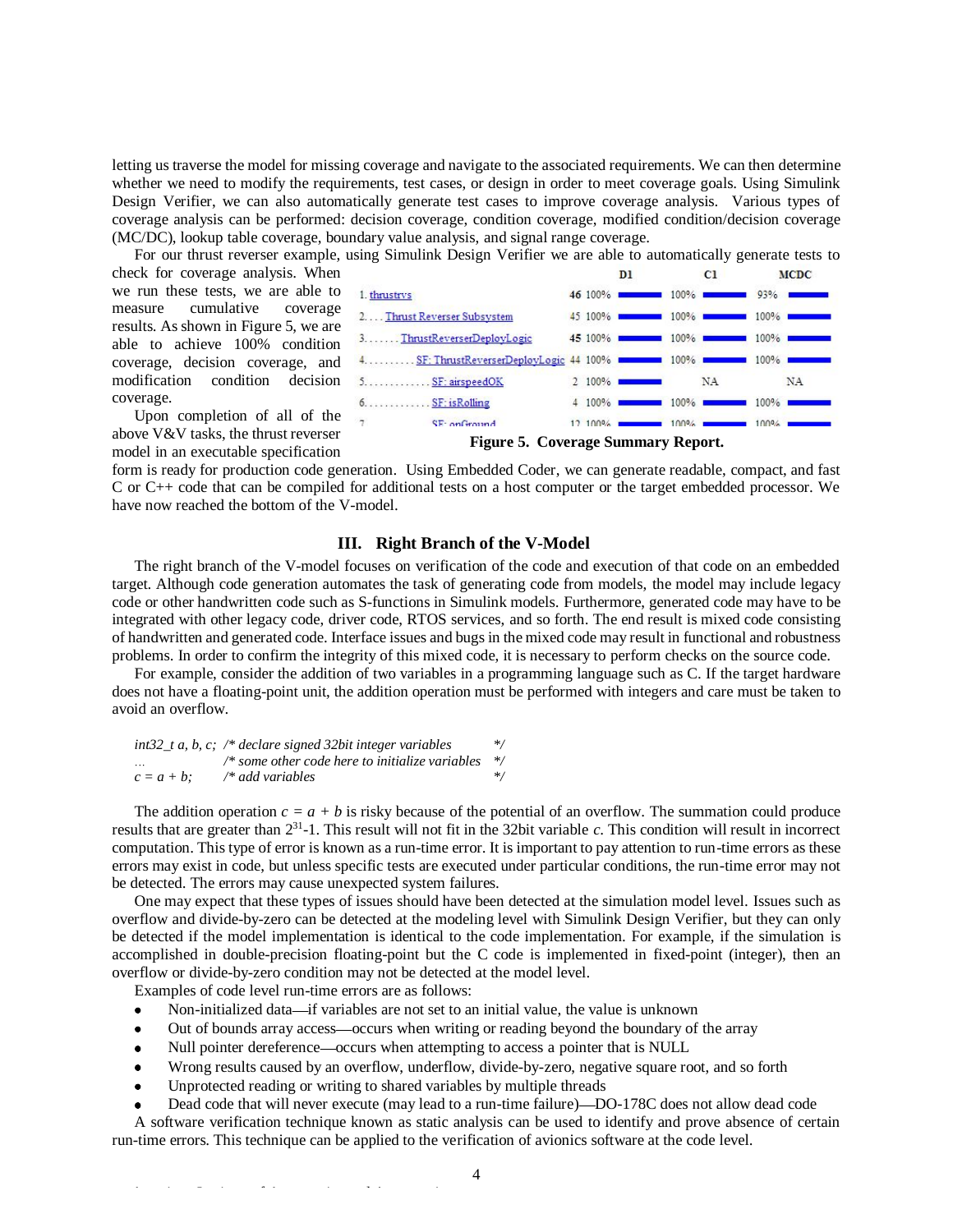letting us traverse the model for missing coverage and navigate to the associated requirements. We can then determine whether we need to modify the requirements, test cases, or design in order to meet coverage goals. Using Simulink Design Verifier, we can also automatically generate test cases to improve coverage analysis. Various types of coverage analysis can be performed: decision coverage, condition coverage, modified condition/decision coverage (MC/DC), lookup table coverage, boundary value analysis, and signal range coverage.

For our thrust reverser example, using Simulink Design Verifier we are able to automatically generate tests to

check for coverage analysis. When we run these tests, we are able to measure cumulative coverage results. As shown in Figure 5, we are able to achieve 100% condition coverage, decision coverage, and modification condition decision coverage.

 $45100%$  $100%$  $100%$  $100%$  $100%$  $2100%$ NA NA  $4100%$  $100%$  $100%$   $\blacksquare$  $SF$  on Ground  $12,100%$  $100%$  $100%$ **Figure 5. Coverage Summary Report.** 

Upon completion of all of the above V&V tasks, the thrust reverser model in an executable specification

form is ready for production code generation. Using Embedded Coder, we can generate readable, compact, and fast C or C++ code that can be compiled for additional tests on a host computer or the target embedded processor. We have now reached the bottom of the V-model.

# **III. Right Branch of the V-Model**

The right branch of the V-model focuses on verification of the code and execution of that code on an embedded target. Although code generation automates the task of generating code from models, the model may include legacy code or other handwritten code such as S-functions in Simulink models. Furthermore, generated code may have to be integrated with other legacy code, driver code, RTOS services, and so forth. The end result is mixed code consisting of handwritten and generated code. Interface issues and bugs in the mixed code may result in functional and robustness problems. In order to confirm the integrity of this mixed code, it is necessary to perform checks on the source code.

For example, consider the addition of two variables in a programming language such as C. If the target hardware does not have a floating-point unit, the addition operation must be performed with integers and care must be taken to avoid an overflow.

|               | int32 t a, b, c; /* declare signed 32bit integer variables    | $\ast/$ |
|---------------|---------------------------------------------------------------|---------|
| $\sim$        | /* some other code here to initialize variables $\frac{1}{2}$ |         |
| $c = a + b$ : | /* add variables                                              | $*$     |

The addition operation  $c = a + b$  is risky because of the potential of an overflow. The summation could produce results that are greater than 2<sup>31</sup> -1. This result will not fit in the 32bit variable *c*. This condition will result in incorrect computation. This type of error is known as a run-time error. It is important to pay attention to run-time errors as these errors may exist in code, but unless specific tests are executed under particular conditions, the run-time error may not be detected. The errors may cause unexpected system failures.

One may expect that these types of issues should have been detected at the simulation model level. Issues such as overflow and divide-by-zero can be detected at the modeling level with Simulink Design Verifier, but they can only be detected if the model implementation is identical to the code implementation. For example, if the simulation is accomplished in double-precision floating-point but the C code is implemented in fixed-point (integer), then an overflow or divide-by-zero condition may not be detected at the model level.

Examples of code level run-time errors are as follows:

- Non-initialized data—if variables are not set to an initial value, the value is unknown
- Out of bounds array access—occurs when writing or reading beyond the boundary of the array
- Null pointer dereference—occurs when attempting to access a pointer that is NULL
- Wrong results caused by an overflow, underflow, divide-by-zero, negative square root, and so forth
- Unprotected reading or writing to shared variables by multiple threads
- Dead code that will never execute (may lead to a run-time failure)—DO-178C does not allow dead code

A software verification technique known as static analysis can be used to identify and prove absence of certain run-time errors. This technique can be applied to the verification of avionics software at the code level.

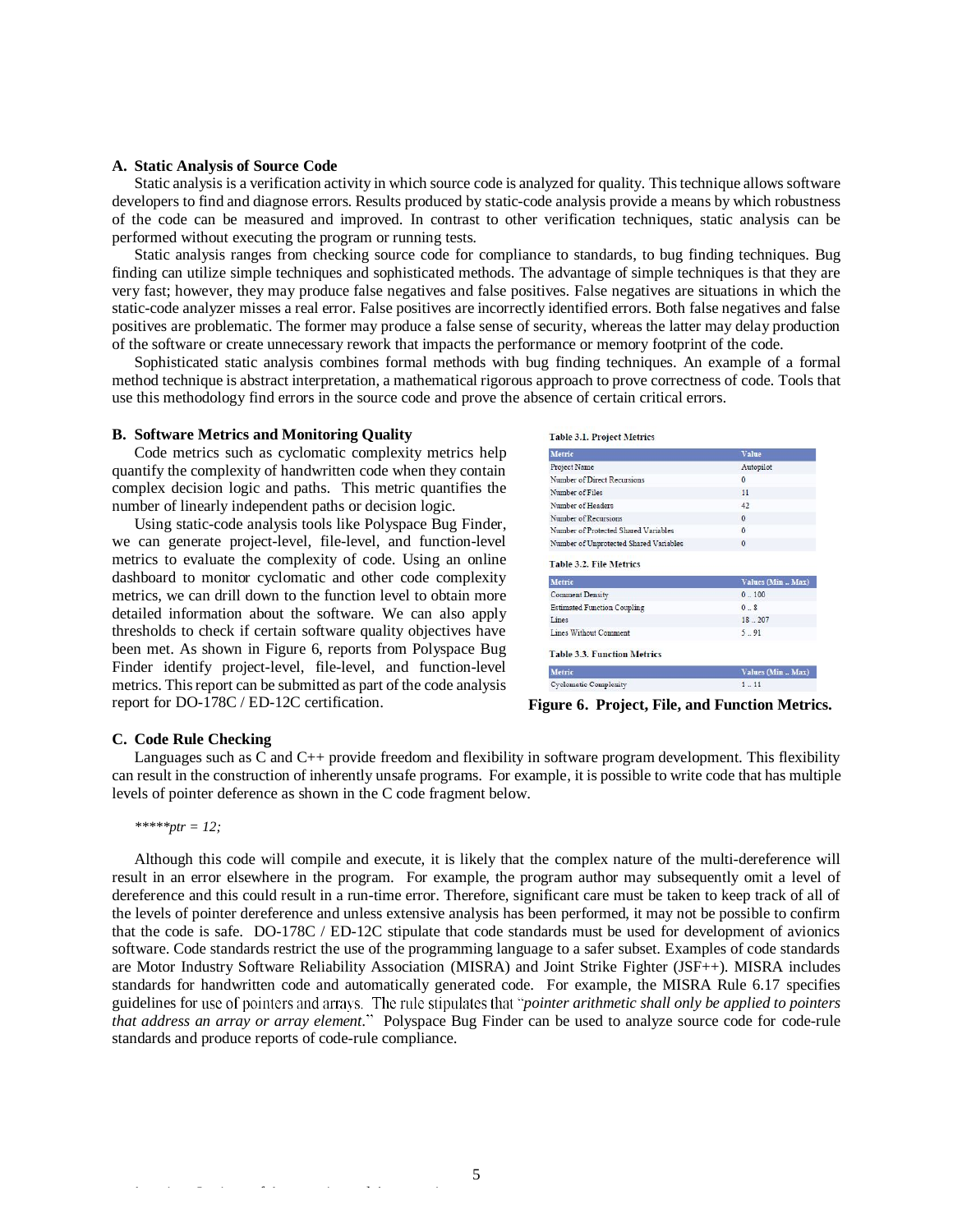## **A. Static Analysis of Source Code**

Static analysis is a verification activity in which source code is analyzed for quality. This technique allows software developers to find and diagnose errors. Results produced by static-code analysis provide a means by which robustness of the code can be measured and improved. In contrast to other verification techniques, static analysis can be performed without executing the program or running tests.

Static analysis ranges from checking source code for compliance to standards, to bug finding techniques. Bug finding can utilize simple techniques and sophisticated methods. The advantage of simple techniques is that they are very fast; however, they may produce false negatives and false positives. False negatives are situations in which the static-code analyzer misses a real error. False positives are incorrectly identified errors. Both false negatives and false positives are problematic. The former may produce a false sense of security, whereas the latter may delay production of the software or create unnecessary rework that impacts the performance or memory footprint of the code.

Sophisticated static analysis combines formal methods with bug finding techniques. An example of a formal method technique is abstract interpretation, a mathematical rigorous approach to prove correctness of code. Tools that use this methodology find errors in the source code and prove the absence of certain critical errors.

#### **B. Software Metrics and Monitoring Quality**

Code metrics such as cyclomatic complexity metrics help quantify the complexity of handwritten code when they contain complex decision logic and paths. This metric quantifies the number of linearly independent paths or decision logic.

Using static-code analysis tools like Polyspace Bug Finder, we can generate project-level, file-level, and function-level metrics to evaluate the complexity of code. Using an online dashboard to monitor cyclomatic and other code complexity metrics, we can drill down to the function level to obtain more detailed information about the software. We can also apply thresholds to check if certain software quality objectives have been met. As shown in Figure 6, reports from Polyspace Bug Finder identify project-level, file-level, and function-level metrics. This report can be submitted as part of the code analysis report for DO-178C / ED-12C certification.

|  | <b>Table 3.1 Project Metrics</b> |  |
|--|----------------------------------|--|

| Metric                                                                                                                                                                                     | <b>Value</b>                 |
|--------------------------------------------------------------------------------------------------------------------------------------------------------------------------------------------|------------------------------|
| Project Name                                                                                                                                                                               | Autopilot                    |
| Number of Direct Recursions                                                                                                                                                                | $\Omega$                     |
| Number of Files                                                                                                                                                                            | 11                           |
| Number of Headers                                                                                                                                                                          | 42                           |
| Number of Recursions                                                                                                                                                                       | $\mathbf{0}$                 |
| Number of Protected Shared Variables                                                                                                                                                       | $\Omega$                     |
| Number of Unprotected Shared Variables                                                                                                                                                     | $\Omega$                     |
|                                                                                                                                                                                            |                              |
|                                                                                                                                                                                            |                              |
|                                                                                                                                                                                            | 0.100                        |
|                                                                                                                                                                                            | 0.8                          |
|                                                                                                                                                                                            | Values (Min., Max)<br>18.207 |
|                                                                                                                                                                                            | 5.91                         |
|                                                                                                                                                                                            |                              |
| <b>Table 3.2. File Metrics</b><br>Metric<br><b>Comment Density</b><br><b>Estimated Function Coupling</b><br>Lines<br>Lines Without Comment<br><b>Table 3.3. Function Metrics</b><br>Metric | Values (Min., Max)           |

**Figure 6. Project, File, and Function Metrics.** 

## **C. Code Rule Checking**

Languages such as C and C++ provide freedom and flexibility in software program development. This flexibility can result in the construction of inherently unsafe programs. For example, it is possible to write code that has multiple levels of pointer deference as shown in the C code fragment below.

# *\*\*\*\*\*ptr = 12;*

Although this code will compile and execute, it is likely that the complex nature of the multi-dereference will result in an error elsewhere in the program. For example, the program author may subsequently omit a level of dereference and this could result in a run-time error. Therefore, significant care must be taken to keep track of all of the levels of pointer dereference and unless extensive analysis has been performed, it may not be possible to confirm that the code is safe. DO-178C / ED-12C stipulate that code standards must be used for development of avionics software. Code standards restrict the use of the programming language to a safer subset. Examples of code standards are Motor Industry Software Reliability Association (MISRA) and Joint Strike Fighter (JSF++). MISRA includes standards for handwritten code and automatically generated code. For example, the MISRA Rule 6.17 specifies guidelines for use of pointers and arrays. The rule stipulates that "pointer arithmetic shall only be applied to pointers *that address an array or array element.* Polyspace Bug Finder can be used to analyze source code for code-rule standards and produce reports of code-rule compliance.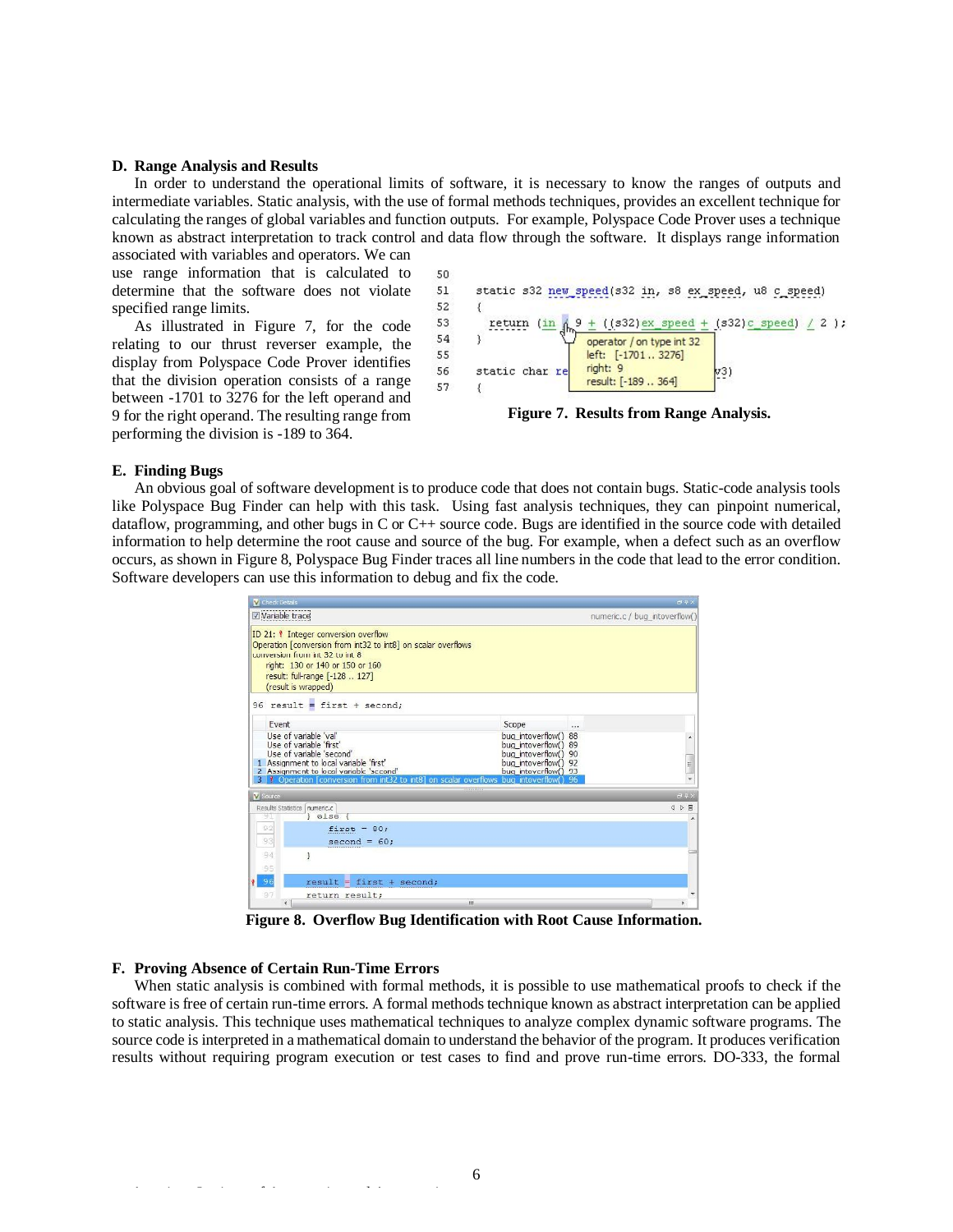#### **D. Range Analysis and Results**

In order to understand the operational limits of software, it is necessary to know the ranges of outputs and intermediate variables. Static analysis, with the use of formal methods techniques, provides an excellent technique for calculating the ranges of global variables and function outputs. For example, Polyspace Code Prover uses a technique known as abstract interpretation to track control and data flow through the software. It displays range information associated with variables and operators. We can

use range information that is calculated to determine that the software does not violate specified range limits.

As illustrated in Figure 7, for the code relating to our thrust reverser example, the display from Polyspace Code Prover identifies that the division operation consists of a range between -1701 to 3276 for the left operand and 9 for the right operand. The resulting range from performing the division is -189 to 364.



**Figure 7. Results from Range Analysis.** 

#### **E. Finding Bugs**

An obvious goal of software development is to produce code that does not contain bugs. Static-code analysis tools like Polyspace Bug Finder can help with this task. Using fast analysis techniques, they can pinpoint numerical, dataflow, programming, and other bugs in C or C++ source code. Bugs are identified in the source code with detailed information to help determine the root cause and source of the bug. For example, when a defect such as an overflow occurs, as shown in Figure 8, Polyspace Bug Finder traces all line numbers in the code that lead to the error condition. Software developers can use this information to debug and fix the code.

| Check Details                                                                                                                                                                                                                               |                                                                                                                      |                               | <b>69×</b> |
|---------------------------------------------------------------------------------------------------------------------------------------------------------------------------------------------------------------------------------------------|----------------------------------------------------------------------------------------------------------------------|-------------------------------|------------|
| Variable trace                                                                                                                                                                                                                              |                                                                                                                      | numeric.c / bug intoverflow() |            |
| ID 21: <i>I</i> Integer conversion overflow<br>Operation [conversion from int32 to int8] on scalar overflows<br>conversion from int 32 to int 8<br>right: 130 or 140 or 150 or 160<br>result: full-range [-128  127]<br>(result is wrapped) |                                                                                                                      |                               |            |
| 96 result = first + second;                                                                                                                                                                                                                 |                                                                                                                      |                               |            |
| Fvent                                                                                                                                                                                                                                       | Scope                                                                                                                | $\cdots$                      |            |
| Use of variable 'val'<br>Use of variable 'first'<br>Use of variable 'second'<br>1 Assignment to local variable 'first'<br>2 Assignment to local variable 'second'                                                                           | bug intoverflow() 88<br>bua intoverflow() 89<br>bug intoverflow() 90<br>bug intoverflow() 92<br>bug_intoverflow() 93 |                               | E          |
| Operation [conversion from int32 to int8] on scalar overflows bug intoverflow() 96                                                                                                                                                          |                                                                                                                      |                               |            |
| Vi Source                                                                                                                                                                                                                                   |                                                                                                                      |                               | a #x       |
| Results Statistics numeric.c<br>} else {<br>91                                                                                                                                                                                              |                                                                                                                      |                               | 4 0 图      |
| 92<br>$first = 80;$<br>93<br>$second = 60;$                                                                                                                                                                                                 |                                                                                                                      |                               |            |
| 94<br>ł<br>95                                                                                                                                                                                                                               |                                                                                                                      |                               |            |
| 96<br>$result = first + second;$<br>٠                                                                                                                                                                                                       |                                                                                                                      |                               |            |
| 97<br>return result;                                                                                                                                                                                                                        |                                                                                                                      |                               |            |
|                                                                                                                                                                                                                                             | ш                                                                                                                    |                               |            |

**Figure 8. Overflow Bug Identification with Root Cause Information.**

## **F. Proving Absence of Certain Run-Time Errors**

When static analysis is combined with formal methods, it is possible to use mathematical proofs to check if the software is free of certain run-time errors. A formal methods technique known as abstract interpretation can be applied to static analysis. This technique uses mathematical techniques to analyze complex dynamic software programs. The source code is interpreted in a mathematical domain to understand the behavior of the program. It produces verification results without requiring program execution or test cases to find and prove run-time errors. DO-333, the formal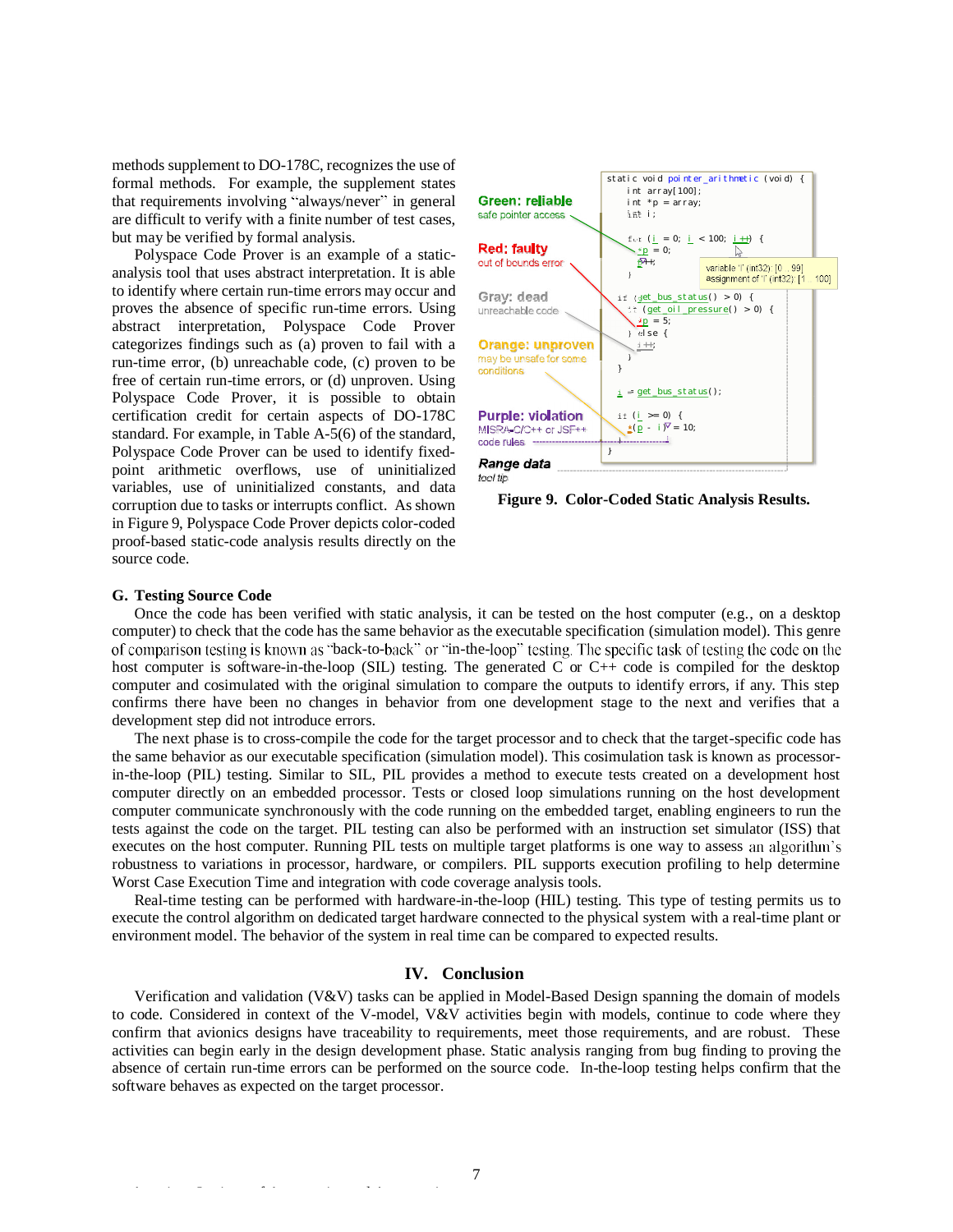methods supplement to DO-178C, recognizes the use of formal methods. For example, the supplement states that requirements involving "always/never" in general are difficult to verify with a finite number of test cases, but may be verified by formal analysis.

Polyspace Code Prover is an example of a staticanalysis tool that uses abstract interpretation. It is able to identify where certain run-time errors may occur and proves the absence of specific run-time errors. Using abstract interpretation, Polyspace Code Prover categorizes findings such as (a) proven to fail with a run-time error, (b) unreachable code, (c) proven to be free of certain run-time errors, or (d) unproven. Using Polyspace Code Prover, it is possible to obtain certification credit for certain aspects of DO-178C standard. For example, in Table A-5(6) of the standard, Polyspace Code Prover can be used to identify fixedpoint arithmetic overflows, use of uninitialized variables, use of uninitialized constants, and data corruption due to tasks or interrupts conflict. As shown in Figure 9, Polyspace Code Prover depicts color-coded proof-based static-code analysis results directly on the source code.



**Figure 9. Color-Coded Static Analysis Results.** 

## **G. Testing Source Code**

Once the code has been verified with static analysis, it can be tested on the host computer (e.g., on a desktop computer) to check that the code has the same behavior as the executable specification (simulation model). This genre of comparison testing is known as "back-to-back" or "in-the-loop" testing. The specific task of testing the code on the host computer is software-in-the-loop (SIL) testing. The generated C or C++ code is compiled for the desktop computer and cosimulated with the original simulation to compare the outputs to identify errors, if any. This step confirms there have been no changes in behavior from one development stage to the next and verifies that a development step did not introduce errors.

The next phase is to cross-compile the code for the target processor and to check that the target-specific code has the same behavior as our executable specification (simulation model). This cosimulation task is known as processorin-the-loop (PIL) testing. Similar to SIL, PIL provides a method to execute tests created on a development host computer directly on an embedded processor. Tests or closed loop simulations running on the host development computer communicate synchronously with the code running on the embedded target, enabling engineers to run the tests against the code on the target. PIL testing can also be performed with an instruction set simulator (ISS) that executes on the host computer. Running PIL tests on multiple target platforms is one way to assess an algorithm's robustness to variations in processor, hardware, or compilers. PIL supports execution profiling to help determine Worst Case Execution Time and integration with code coverage analysis tools.

Real-time testing can be performed with hardware-in-the-loop (HIL) testing. This type of testing permits us to execute the control algorithm on dedicated target hardware connected to the physical system with a real-time plant or environment model. The behavior of the system in real time can be compared to expected results.

## **IV. Conclusion**

Verification and validation (V&V) tasks can be applied in Model-Based Design spanning the domain of models to code. Considered in context of the V-model, V&V activities begin with models, continue to code where they confirm that avionics designs have traceability to requirements, meet those requirements, and are robust. These activities can begin early in the design development phase. Static analysis ranging from bug finding to proving the absence of certain run-time errors can be performed on the source code. In-the-loop testing helps confirm that the software behaves as expected on the target processor.